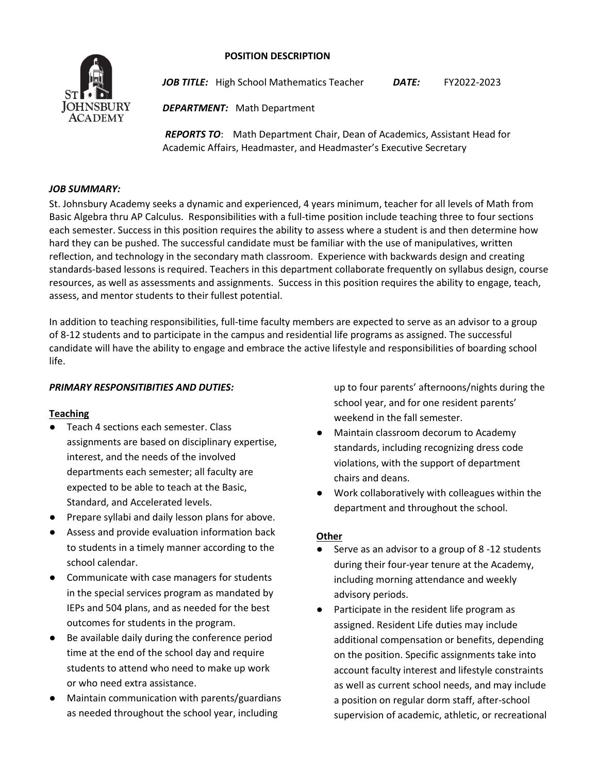## **POSITION DESCRIPTION**



*JOB TITLE:* High School Mathematics Teacher*DATE:* FY2022-2023

*DEPARTMENT:* Math Department

*REPORTS TO*: Math Department Chair, Dean of Academics, Assistant Head for Academic Affairs, Headmaster, and Headmaster's Executive Secretary

## *JOB SUMMARY:*

St. Johnsbury Academy seeks a dynamic and experienced, 4 years minimum, teacher for all levels of Math from Basic Algebra thru AP Calculus. Responsibilities with a full-time position include teaching three to four sections each semester. Success in this position requires the ability to assess where a student is and then determine how hard they can be pushed. The successful candidate must be familiar with the use of manipulatives, written reflection, and technology in the secondary math classroom. Experience with backwards design and creating standards-based lessons is required. Teachers in this department collaborate frequently on syllabus design, course resources, as well as assessments and assignments. Success in this position requires the ability to engage, teach, assess, and mentor students to their fullest potential.

In addition to teaching responsibilities, full-time faculty members are expected to serve as an advisor to a group of 8-12 students and to participate in the campus and residential life programs as assigned. The successful candidate will have the ability to engage and embrace the active lifestyle and responsibilities of boarding school life.

# *PRIMARY RESPONSITIBITIES AND DUTIES:*

## **Teaching**

- Teach 4 sections each semester. Class assignments are based on disciplinary expertise, interest, and the needs of the involved departments each semester; all faculty are expected to be able to teach at the Basic, Standard, and Accelerated levels.
- Prepare syllabi and daily lesson plans for above.
- Assess and provide evaluation information back to students in a timely manner according to the school calendar.
- Communicate with case managers for students in the special services program as mandated by IEPs and 504 plans, and as needed for the best outcomes for students in the program.
- Be available daily during the conference period time at the end of the school day and require students to attend who need to make up work or who need extra assistance.
- Maintain communication with parents/guardians as needed throughout the school year, including

up to four parents' afternoons/nights during the school year, and for one resident parents' weekend in the fall semester.

- Maintain classroom decorum to Academy standards, including recognizing dress code violations, with the support of department chairs and deans.
- Work collaboratively with colleagues within the department and throughout the school.

## **Other**

- Serve as an advisor to a group of 8 -12 students during their four-year tenure at the Academy, including morning attendance and weekly advisory periods.
- Participate in the resident life program as assigned. Resident Life duties may include additional compensation or benefits, depending on the position. Specific assignments take into account faculty interest and lifestyle constraints as well as current school needs, and may include a position on regular dorm staff, after-school supervision of academic, athletic, or recreational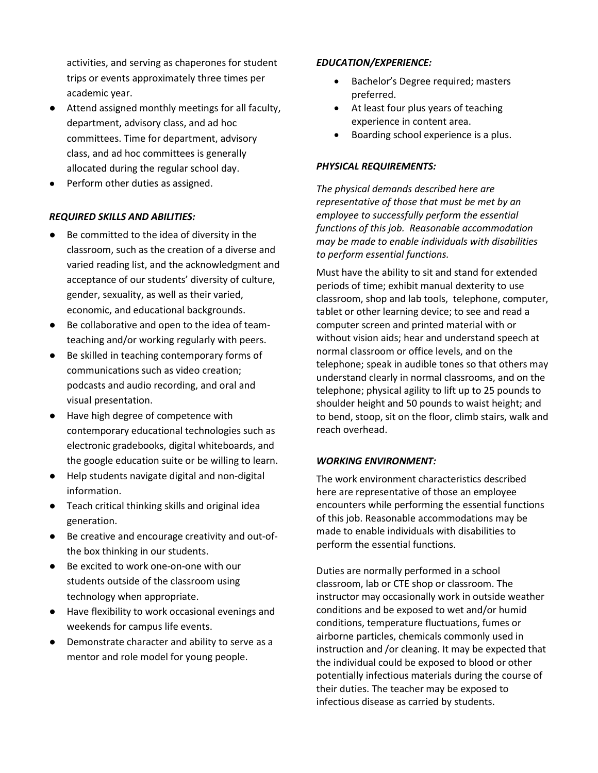activities, and serving as chaperones for student trips or events approximately three times per academic year.

- Attend assigned monthly meetings for all faculty, department, advisory class, and ad hoc committees. Time for department, advisory class, and ad hoc committees is generally allocated during the regular school day.
- Perform other duties as assigned.

# *REQUIRED SKILLS AND ABILITIES:*

- Be committed to the idea of diversity in the classroom, such as the creation of a diverse and varied reading list, and the acknowledgment and acceptance of our students' diversity of culture, gender, sexuality, as well as their varied, economic, and educational backgrounds.
- Be collaborative and open to the idea of teamteaching and/or working regularly with peers.
- Be skilled in teaching contemporary forms of communications such as video creation; podcasts and audio recording, and oral and visual presentation.
- Have high degree of competence with contemporary educational technologies such as electronic gradebooks, digital whiteboards, and the google education suite or be willing to learn.
- Help students navigate digital and non-digital information.
- Teach critical thinking skills and original idea generation.
- Be creative and encourage creativity and out-ofthe box thinking in our students.
- Be excited to work one-on-one with our students outside of the classroom using technology when appropriate.
- Have flexibility to work occasional evenings and weekends for campus life events.
- Demonstrate character and ability to serve as a mentor and role model for young people.

## *EDUCATION/EXPERIENCE:*

- Bachelor's Degree required; masters preferred.
- At least four plus years of teaching experience in content area.
- Boarding school experience is a plus.

# *PHYSICAL REQUIREMENTS:*

*The physical demands described here are representative of those that must be met by an employee to successfully perform the essential functions of this job. Reasonable accommodation may be made to enable individuals with disabilities to perform essential functions.*

Must have the ability to sit and stand for extended periods of time; exhibit manual dexterity to use classroom, shop and lab tools, telephone, computer, tablet or other learning device; to see and read a computer screen and printed material with or without vision aids; hear and understand speech at normal classroom or office levels, and on the telephone; speak in audible tones so that others may understand clearly in normal classrooms, and on the telephone; physical agility to lift up to 25 pounds to shoulder height and 50 pounds to waist height; and to bend, stoop, sit on the floor, climb stairs, walk and reach overhead.

## *WORKING ENVIRONMENT:*

The work environment characteristics described here are representative of those an employee encounters while performing the essential functions of this job. Reasonable accommodations may be made to enable individuals with disabilities to perform the essential functions.

Duties are normally performed in a school classroom, lab or CTE shop or classroom. The instructor may occasionally work in outside weather conditions and be exposed to wet and/or humid conditions, temperature fluctuations, fumes or airborne particles, chemicals commonly used in instruction and /or cleaning. It may be expected that the individual could be exposed to blood or other potentially infectious materials during the course of their duties. The teacher may be exposed to infectious disease as carried by students.